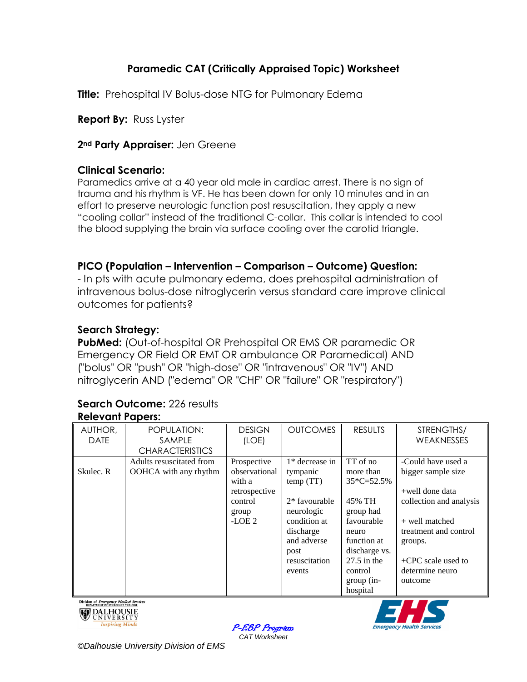# **Paramedic CAT (Critically Appraised Topic) Worksheet**

**Title:** Prehospital IV Bolus-dose NTG for Pulmonary Edema

**Report By:** Russ Lyster

**2nd Party Appraiser:** Jen Greene

## **Clinical Scenario:**

Paramedics arrive at a 40 year old male in cardiac arrest. There is no sign of trauma and his rhythm is VF. He has been down for only 10 minutes and in an effort to preserve neurologic function post resuscitation, they apply a new "cooling collar" instead of the traditional C-collar. This collar is intended to cool the blood supplying the brain via surface cooling over the carotid triangle.

# **PICO (Population – Intervention – Comparison – Outcome) Question:**

- In pts with acute pulmonary edema, does prehospital administration of intravenous bolus-dose nitroglycerin versus standard care improve clinical outcomes for patients?

# **Search Strategy:**

**PubMed:** (Out-of-hospital OR Prehospital OR EMS OR paramedic OR Emergency OR Field OR EMT OR ambulance OR Paramedical) AND ("bolus" OR "push" OR "high-dose" OR "intravenous" OR "IV") AND nitroglycerin AND ("edema" OR "CHF" OR "failure" OR "respiratory")

#### **Search Outcome:** 226 results **Relevant Papers:**

| AUTHOR,     | POPULATION:              | <b>DESIGN</b> | <b>OUTCOMES</b>  | <b>RESULTS</b> | STRENGTHS/              |
|-------------|--------------------------|---------------|------------------|----------------|-------------------------|
| <b>DATE</b> | SAMPLE                   | (LOE)         |                  |                | WEAKNESSES              |
|             | <b>CHARACTERISTICS</b>   |               |                  |                |                         |
|             | Adults resuscitated from | Prospective   | $1*$ decrease in | TT of no       | -Could have used a      |
| Skulec. R   | OOHCA with any rhythm    | observational | tympanic         | more than      | bigger sample size      |
|             |                          | with a        | temp(TT)         | $35*C=52.5%$   |                         |
|             |                          | retrospective |                  |                | +well done data         |
|             |                          | control       | $2*$ favourable  | 45% TH         | collection and analysis |
|             |                          | group         | neurologic       | group had      |                         |
|             |                          | -LOE $2$      | condition at     | favourable     | + well matched          |
|             |                          |               | discharge        | neuro          | treatment and control   |
|             |                          |               | and adverse      | function at    | groups.                 |
|             |                          |               | post             | discharge vs.  |                         |
|             |                          |               | resuscitation    | $27.5$ in the  | $+$ CPC scale used to   |
|             |                          |               | events           | control        | determine neuro         |
|             |                          |               |                  | $group (in-$   | outcome                 |
|             |                          |               |                  | hospital       |                         |







*©Dalhousie University Division of EMS*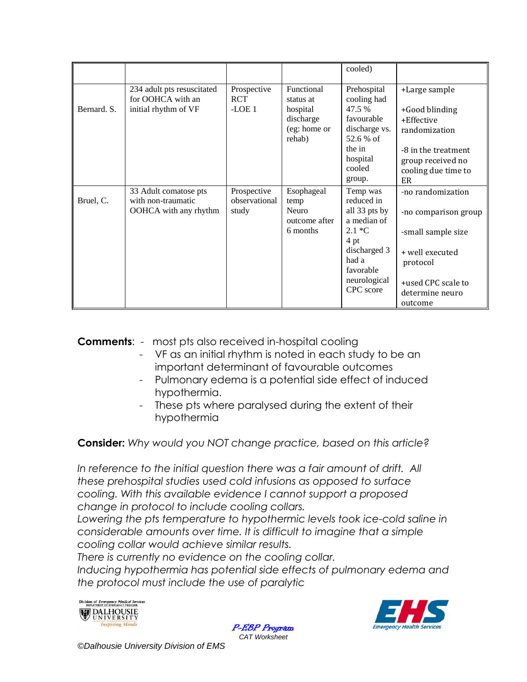|             |                                                                         |                                       |                                                  | cooled)                                                |                                                                       |
|-------------|-------------------------------------------------------------------------|---------------------------------------|--------------------------------------------------|--------------------------------------------------------|-----------------------------------------------------------------------|
| Bernard. S. | 234 adult pts resuscitated<br>for OOHCA with an<br>initial rhythm of VF | Prospective<br><b>RCT</b><br>$-LOE1$  | Functional<br>status at<br>hospital<br>discharge | Prehospital<br>cooling had<br>47.5 %<br>favourable     | +Large sample<br>+Good blinding<br>+Effective                         |
|             |                                                                         |                                       | (eg: home or<br>rehab)                           | discharge vs.<br>52.6 % of                             | randomization                                                         |
|             |                                                                         |                                       |                                                  | the in<br>hospital<br>cooled<br>group.                 | -8 in the treatment<br>group received no<br>cooling due time to<br>ER |
| Bruel, C.   | 33 Adult comatose pts<br>with non-traumatic<br>OOHCA with any rhythm    | Prospective<br>observational<br>study | Esophageal<br>temp<br>Neuro<br>outcome after     | Temp was<br>reduced in<br>all 33 pts by<br>a median of | -no randomization<br>-no comparison group                             |
|             |                                                                         |                                       | 6 months                                         | $2.1 *C$<br>4 pt<br>discharged 3<br>had a<br>favorable | -small sample size<br>+ well executed<br>protocol                     |
|             |                                                                         |                                       |                                                  | neurological<br>CPC score                              | +used CPC scale to<br>determine neuro<br>outcome                      |

**Comments**: - most pts also received in-hospital cooling

- VF as an initial rhythm is noted in each study to be an important determinant of favourable outcomes
- Pulmonary edema is a potential side effect of induced hypothermia.
- These pts where paralysed during the extent of their hypothermia

**Consider:** *Why would you NOT change practice, based on this article?*

In reference to the initial question there was a fair amount of drift. All *these prehospital studies used cold infusions as opposed to surface cooling. With this available evidence I cannot support a proposed change in protocol to include cooling collars.*

Lowering the pts temperature to hypothermic levels took ice-cold saline in *considerable amounts over time. It is difficult to imagine that a simple cooling collar would achieve similar results.* 

*There is currently no evidence on the cooling collar.*

*Inducing hypothermia has potential side effects of pulmonary edema and the protocol must include the use of paralytic*





P-EBP Program *CAT Worksheet*